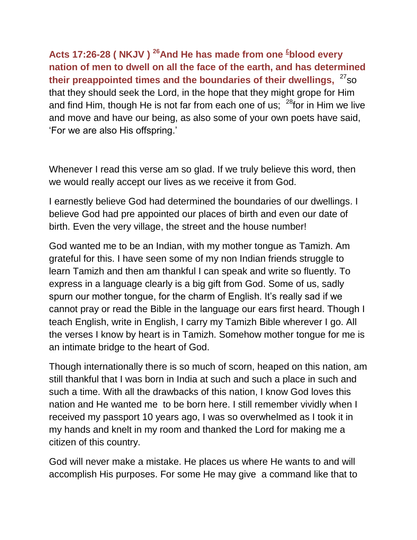**Acts 17:26-28 ( NKJV ) <sup>26</sup>And He has made from one [£](qv://steplinkto1%200000034729/) blood every nation of men to dwell on all the face of the earth, and has determined their preappointed times and the boundaries of their dwellings,** <sup>27</sup>so that they should seek the Lord, in the hope that they might grope for Him and find Him, though He is not far from each one of us;  $28$  for in Him we live and move and have our being, as also some of your own poets have said, "For we are also His offspring."

Whenever I read this verse am so glad. If we truly believe this word, then we would really accept our lives as we receive it from God.

I earnestly believe God had determined the boundaries of our dwellings. I believe God had pre appointed our places of birth and even our date of birth. Even the very village, the street and the house number!

God wanted me to be an Indian, with my mother tongue as Tamizh. Am grateful for this. I have seen some of my non Indian friends struggle to learn Tamizh and then am thankful I can speak and write so fluently. To express in a language clearly is a big gift from God. Some of us, sadly spurn our mother tongue, for the charm of English. It's really sad if we cannot pray or read the Bible in the language our ears first heard. Though I teach English, write in English, I carry my Tamizh Bible wherever I go. All the verses I know by heart is in Tamizh. Somehow mother tongue for me is an intimate bridge to the heart of God.

Though internationally there is so much of scorn, heaped on this nation, am still thankful that I was born in India at such and such a place in such and such a time. With all the drawbacks of this nation, I know God loves this nation and He wanted me to be born here. I still remember vividly when I received my passport 10 years ago, I was so overwhelmed as I took it in my hands and knelt in my room and thanked the Lord for making me a citizen of this country.

God will never make a mistake. He places us where He wants to and will accomplish His purposes. For some He may give a command like that to